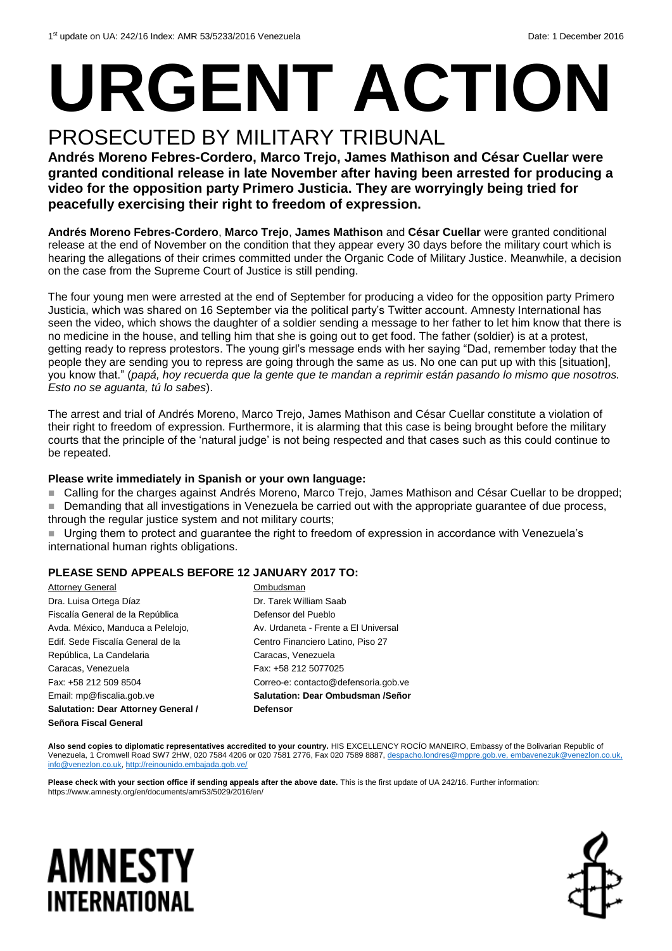# **URGENT ACTION**

### PROSECUTED BY MILITARY TRIBUNAL

**Andrés Moreno Febres-Cordero, Marco Trejo, James Mathison and César Cuellar were granted conditional release in late November after having been arrested for producing a video for the opposition party Primero Justicia. They are worryingly being tried for peacefully exercising their right to freedom of expression.**

**Andrés Moreno Febres-Cordero**, **Marco Trejo**, **James Mathison** and **César Cuellar** were granted conditional release at the end of November on the condition that they appear every 30 days before the military court which is hearing the allegations of their crimes committed under the Organic Code of Military Justice. Meanwhile, a decision on the case from the Supreme Court of Justice is still pending.

The four young men were arrested at the end of September for producing a video for the opposition party Primero Justicia, which was shared on 16 September via the political party's Twitter account. Amnesty International has seen the video, which shows the daughter of a soldier sending a message to her father to let him know that there is no medicine in the house, and telling him that she is going out to get food. The father (soldier) is at a protest, getting ready to repress protestors. The young girl's message ends with her saying "Dad, remember today that the people they are sending you to repress are going through the same as us. No one can put up with this [situation], you know that." (*papá, hoy recuerda que la gente que te mandan a reprimir están pasando lo mismo que nosotros. Esto no se aguanta, tú lo sabes*).

The arrest and trial of Andrés Moreno, Marco Trejo, James Mathison and César Cuellar constitute a violation of their right to freedom of expression. Furthermore, it is alarming that this case is being brought before the military courts that the principle of the 'natural judge' is not being respected and that cases such as this could continue to be repeated.

#### **Please write immediately in Spanish or your own language:**

■ Calling for the charges against Andrés Moreno, Marco Trejo, James Mathison and César Cuellar to be dropped;

Demanding that all investigations in Venezuela be carried out with the appropriate guarantee of due process,

through the regular justice system and not military courts;

 Urging them to protect and guarantee the right to freedom of expression in accordance with Venezuela's international human rights obligations.

#### **PLEASE SEND APPEALS BEFORE 12 JANUARY 2017 TO:**

| Attorney General                    | Ombudsman                            |
|-------------------------------------|--------------------------------------|
| Dra. Luisa Ortega Díaz              | Dr. Tarek William Saab               |
| Fiscalía General de la República    | Defensor del Pueblo                  |
| Avda. México, Manduca a Pelelojo,   | Av. Urdaneta - Frente a El Universal |
| Edif. Sede Fiscalía General de la   | Centro Financiero Latino, Piso 27    |
| República, La Candelaria            | Caracas, Venezuela                   |
| Caracas, Venezuela                  | Fax: +58 212 5077025                 |
| Fax: +58 212 509 8504               | Correo-e: contacto@defensoria.gob.ve |
| Email: mp@fiscalia.gob.ve           | Salutation: Dear Ombudsman /Señor    |
| Salutation: Dear Attorney General / | <b>Defensor</b>                      |
| Señora Fiscal General               |                                      |

Also send copies to diplomatic representatives accredited to your country. HIS EXCELLENCY ROCÍO MANEIRO, Embassy of the Bolivarian Republic of Venezuela, 1 Cromwell Road SW7 2HW, 020 7584 4206 or 020 7581 2776, Fax 020 7589 8887, [despacho.londres@mppre.gob.ve,](mailto:despacho.londres@mppre.gob.ve) [embavenezuk@venezlon.co.uk,](mailto:embavenezuk@venezlon.co.uk)  [info@venezlon.co.uk,](mailto:info@venezlon.co.uk) <http://reinounido.embajada.gob.ve/>

**Please check with your section office if sending appeals after the above date.** This is the first update of UA 242/16. Further information: https://www.amnesty.org/en/documents/amr53/5029/2016/en/